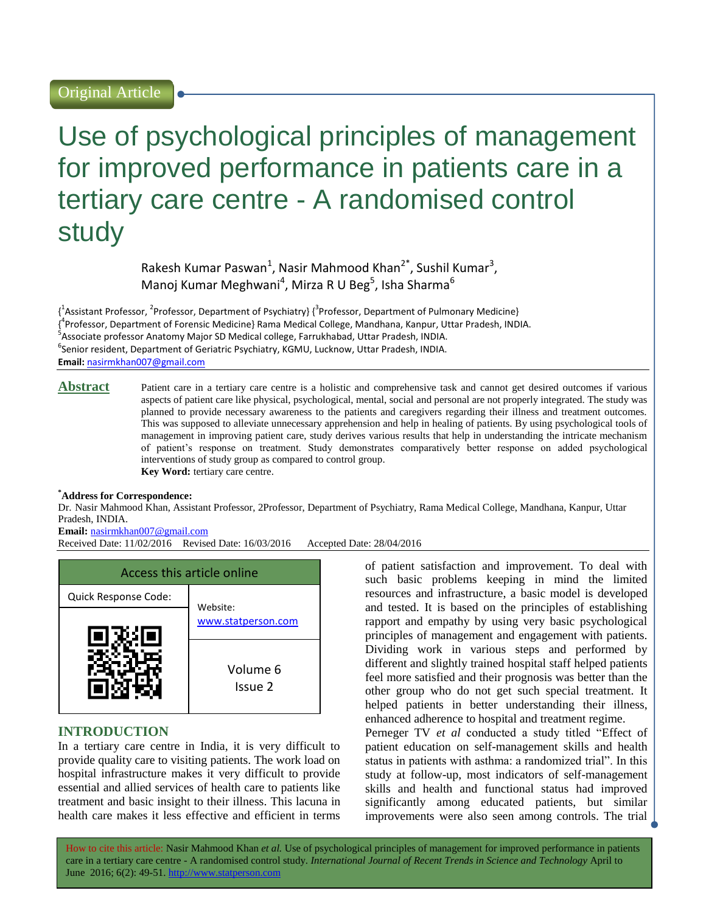# Use of psychological principles of management for improved performance in patients care in a tertiary care centre - A randomised control study

Rakesh Kumar Paswan<sup>1</sup>, Nasir Mahmood Khan<sup>2\*</sup>, Sushil Kumar<sup>3</sup>, Manoj Kumar Meghwani<sup>4</sup>, Mirza R U Beg<sup>5</sup>, Isha Sharma<sup>6</sup>

 $\{\frac{1}{3}$ Assistant Professor, <sup>2</sup>Professor, Department of Psychiatry}  $\{\frac{3}{7}$ Professor, Department of Pulmonary Medicine} { 4 Professor, Department of Forensic Medicine} Rama Medical College, Mandhana, Kanpur, Uttar Pradesh, INDIA. <sup>5</sup> Associate professor Anatomy Major SD Medical college, Farrukhabad, Uttar Pradesh, INDIA. 6 Senior resident, Department of Geriatric Psychiatry, KGMU, Lucknow, Uttar Pradesh, INDIA. **Email:** [nasirmkhan007@gmail.com](mailto:nasirmkhan007@gmail.com)

Abstract Patient care in a tertiary care centre is a holistic and comprehensive task and cannot get desired outcomes if various aspects of patient care like physical, psychological, mental, social and personal are not properly integrated. The study was planned to provide necessary awareness to the patients and caregivers regarding their illness and treatment outcomes. This was supposed to alleviate unnecessary apprehension and help in healing of patients. By using psychological tools of management in improving patient care, study derives various results that help in understanding the intricate mechanism of patient's response on treatment. Study demonstrates comparatively better response on added psychological interventions of study group as compared to control group. **Key Word:** tertiary care centre.

# **\*Address for Correspondence:**

Dr. Nasir Mahmood Khan, Assistant Professor, 2Professor, Department of Psychiatry, Rama Medical College, Mandhana, Kanpur, Uttar Pradesh, INDIA.

# **Email:** [nasirmkhan007@gmail.com](mailto:nasirmkhan007@gmail.com)

Received Date: 11/02/2016 Revised Date: 16/03/2016 Accepted Date: 28/04/2016



# **INTRODUCTION**

In a tertiary care centre in India, it is very difficult to provide quality care to visiting patients. The work load on hospital infrastructure makes it very difficult to provide essential and allied services of health care to patients like treatment and basic insight to their illness. This lacuna in health care makes it less effective and efficient in terms

of patient satisfaction and improvement. To deal with such basic problems keeping in mind the limited resources and infrastructure, a basic model is developed and tested. It is based on the principles of establishing rapport and empathy by using very basic psychological principles of management and engagement with patients. Dividing work in various steps and performed by different and slightly trained hospital staff helped patients feel more satisfied and their prognosis was better than the other group who do not get such special treatment. It helped patients in better understanding their illness, enhanced adherence to hospital and treatment regime. Perneger TV *et al* conducted a study titled "Effect of patient education on self-management skills and health status in patients with asthma: a randomized trial". In this study at follow-up, most indicators of self-management skills and health and functional status had improved significantly among educated patients, but similar

improvements were also seen among controls. The trial

How to cite this article: Nasir Mahmood Khan *et al.* Use of psychological principles of management for improved performance in patients care in a tertiary care centre - A randomised control study. *International Journal of Recent Trends in Science and Technology* April to June 2016; 6(2): 49-51. http://www.statperson.com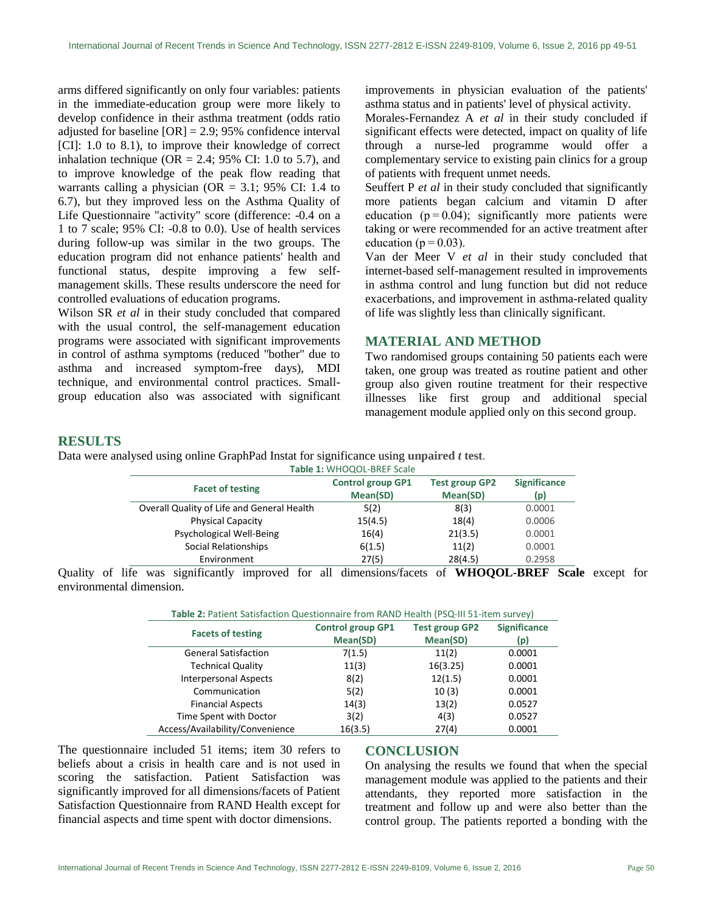arms differed significantly on only four variables: patients in the immediate-education group were more likely to develop confidence in their asthma treatment (odds ratio adjusted for baseline  $[OR] = 2.9$ ; 95% confidence interval [CI]: 1.0 to 8.1), to improve their knowledge of correct inhalation technique ( $OR = 2.4$ ; 95% CI: 1.0 to 5.7), and to improve knowledge of the peak flow reading that warrants calling a physician ( $OR = 3.1$ ; 95% CI: 1.4 to 6.7), but they improved less on the Asthma Quality of Life Questionnaire "activity" score (difference: -0.4 on a 1 to 7 scale; 95% CI: -0.8 to 0.0). Use of health services during follow-up was similar in the two groups. The education program did not enhance patients' health and functional status, despite improving a few selfmanagement skills. These results underscore the need for controlled evaluations of education programs.

Wilson SR *et al* in their study concluded that compared with the usual control, the self-management education programs were associated with significant improvements in control of asthma symptoms (reduced "bother" due to asthma and increased symptom-free days), MDI technique, and environmental control practices. Smallgroup education also was associated with significant

improvements in physician evaluation of the patients' asthma status and in patients' level of physical activity.

Morales-Fernandez A *et al* in their study concluded if significant effects were detected, impact on quality of life through a nurse-led programme would offer a complementary service to existing pain clinics for a group of patients with frequent unmet needs.

Seuffert P *et al* in their study concluded that significantly more patients began calcium and vitamin D after education  $(p=0.04)$ ; significantly more patients were taking or were recommended for an active treatment after education ( $p = 0.03$ ).

[Van der Meer V](http://www.ncbi.nlm.nih.gov/pubmed/?term=van%20der%20Meer%20V%5BAuthor%5D&cauthor=true&cauthor_uid=19620163) *et al* in their study concluded that internet-based self-management resulted in improvements in asthma control and lung function but did not reduce exacerbations, and improvement in asthma-related quality of life was slightly less than clinically significant.

# **MATERIAL AND METHOD**

Two randomised groups containing 50 patients each were taken, one group was treated as routine patient and other group also given routine treatment for their respective illnesses like first group and additional special management module applied only on this second group.

# **RESULTS**

Data were analysed using online GraphPad Instat for significance using **unpaired** *t* **test**.

| Table 1: WHOQOL-BREF Scale                 |                                      |                                   |                            |  |
|--------------------------------------------|--------------------------------------|-----------------------------------|----------------------------|--|
| <b>Facet of testing</b>                    | <b>Control group GP1</b><br>Mean(SD) | <b>Test group GP2</b><br>Mean(SD) | <b>Significance</b><br>(p) |  |
| Overall Quality of Life and General Health | 5(2)                                 | 8(3)                              | 0.0001                     |  |
| <b>Physical Capacity</b>                   | 15(4.5)                              | 18(4)                             | 0.0006                     |  |
| Psychological Well-Being                   | 16(4)                                | 21(3.5)                           | 0.0001                     |  |
| Social Relationships                       | 6(1.5)                               | 11(2)                             | 0.0001                     |  |
| Environment                                | 27(5)                                | 28(4.5)                           | 0.2958                     |  |

Quality of life was significantly improved for all dimensions/facets of **WHOQOL-BREF Scale** except for environmental dimension.

| Table 2: Patient Satisfaction Questionnaire from RAND Health (PSQ-III 51-item survey) |                          |                       |                     |  |
|---------------------------------------------------------------------------------------|--------------------------|-----------------------|---------------------|--|
| <b>Facets of testing</b>                                                              | <b>Control group GP1</b> | <b>Test group GP2</b> | <b>Significance</b> |  |
|                                                                                       | Mean(SD)                 | Mean(SD)              | (p)                 |  |
| <b>General Satisfaction</b>                                                           | 7(1.5)                   | 11(2)                 | 0.0001              |  |
| <b>Technical Quality</b>                                                              | 11(3)                    | 16(3.25)              | 0.0001              |  |
| <b>Interpersonal Aspects</b>                                                          | 8(2)                     | 12(1.5)               | 0.0001              |  |
| Communication                                                                         | 5(2)                     | 10(3)                 | 0.0001              |  |
| <b>Financial Aspects</b>                                                              | 14(3)                    | 13(2)                 | 0.0527              |  |
| Time Spent with Doctor                                                                | 3(2)                     | 4(3)                  | 0.0527              |  |
| Access/Availability/Convenience                                                       | 16(3.5)                  | 27(4)                 | 0.0001              |  |

The questionnaire included 51 items; item 30 refers to beliefs about a crisis in health care and is not used in scoring the satisfaction. Patient Satisfaction was significantly improved for all dimensions/facets of Patient Satisfaction Questionnaire from RAND Health except for financial aspects and time spent with doctor dimensions.

# **CONCLUSION**

On analysing the results we found that when the special management module was applied to the patients and their attendants, they reported more satisfaction in the treatment and follow up and were also better than the control group. The patients reported a bonding with the